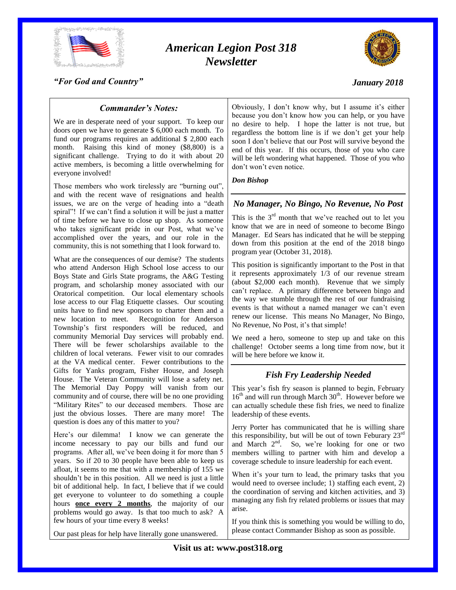

# *American Legion Post 318 Newsletter*



### *"For God and Country"*

### *January 2018*

### *Commander's Notes:*

We are in desperate need of your support. To keep our doors open we have to generate \$ 6,000 each month. To fund our programs requires an additional \$ 2,800 each month. Raising this kind of money (\$8,800) is a significant challenge. Trying to do it with about 20 active members, is becoming a little overwhelming for everyone involved!

Those members who work tirelessly are "burning out", and with the recent wave of resignations and health issues, we are on the verge of heading into a "death spiral"! If we can't find a solution it will be just a matter of time before we have to close up shop. As someone who takes significant pride in our Post, what we've accomplished over the years, and our role in the community, this is not something that I look forward to.

What are the consequences of our demise? The students who attend Anderson High School lose access to our Boys State and Girls State programs, the A&G Testing program, and scholarship money associated with our Oratorical competition. Our local elementary schools lose access to our Flag Etiquette classes. Our scouting units have to find new sponsors to charter them and a new location to meet. Recognition for Anderson Township's first responders will be reduced, and community Memorial Day services will probably end. There will be fewer scholarships available to the children of local veterans. Fewer visit to our comrades at the VA medical center. Fewer contributions to the Gifts for Yanks program, Fisher House, and Joseph House. The Veteran Community will lose a safety net. The Memorial Day Poppy will vanish from our community and of course, there will be no one providing "Military Rites" to our deceased members. Those are just the obvious losses. There are many more! The question is does any of this matter to you?

Here's our dilemma! I know we can generate the income necessary to pay our bills and fund our programs. After all, we've been doing it for more than 5 years. So if 20 to 30 people have been able to keep us afloat, it seems to me that with a membership of 155 we shouldn't be in this position. All we need is just a little bit of additional help. In fact, I believe that if we could get everyone to volunteer to do something a couple hours **once every 2 months**, the majority of our problems would go away. Is that too much to ask? A few hours of your time every 8 weeks!

Our past pleas for help have literally gone unanswered.

Obviously, I don't know why, but I assume it's either because you don't know how you can help, or you have no desire to help. I hope the latter is not true, but regardless the bottom line is if we don't get your help soon I don't believe that our Post will survive beyond the end of this year. If this occurs, those of you who care will be left wondering what happened. Those of you who don't won't even notice.

*Don Bishop*

# *No Manager, No Bingo, No Revenue, No Post*

This is the  $3<sup>rd</sup>$  month that we've reached out to let you know that we are in need of someone to become Bingo Manager. Ed Sears has indicated that he will be stepping down from this position at the end of the 2018 bingo program year (October 31, 2018).

This position is significantly important to the Post in that it represents approximately 1/3 of our revenue stream (about \$2,000 each month). Revenue that we simply can't replace. A primary difference between bingo and the way we stumble through the rest of our fundraising events is that without a named manager we can't even renew our license. This means No Manager, No Bingo, No Revenue, No Post, it's that simple!

We need a hero, someone to step up and take on this challenge! October seems a long time from now, but it will be here before we know it.

# *Fish Fry Leadership Needed*

This year's fish fry season is planned to begin, February  $16<sup>th</sup>$  and will run through March  $30<sup>th</sup>$ . However before we can actually schedule these fish fries, we need to finalize leadership of these events.

Jerry Porter has communicated that he is willing share this responsibility, but will be out of town Feburary  $23<sup>rd</sup>$ and March 2<sup>nd</sup>. So, we're looking for one or two members willing to partner with him and develop a coverage schedule to insure leadership for each event.

When it's your turn to lead, the primary tasks that you would need to oversee include; 1) staffing each event, 2) the coordination of serving and kitchen activities, and 3) managing any fish fry related problems or issues that may arise.

If you think this is something you would be willing to do, please contact Commander Bishop as soon as possible.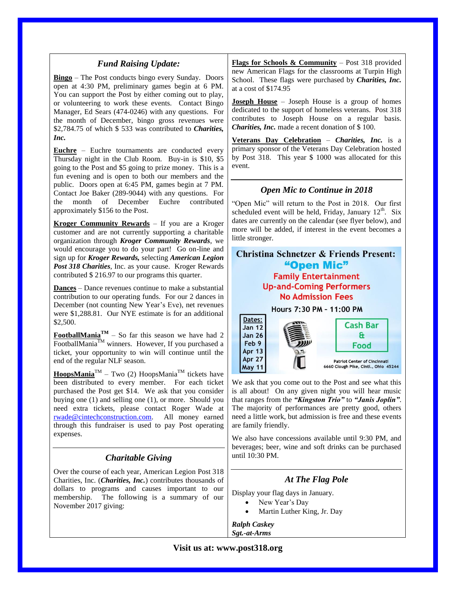# *Fund Raising Update:*

**Bingo** – The Post conducts bingo every Sunday. Doors open at 4:30 PM, preliminary games begin at 6 PM. You can support the Post by either coming out to play, or volunteering to work these events. Contact Bingo Manager, Ed Sears (474-0246) with any questions. For the month of December, bingo gross revenues were \$2,784.75 of which \$ 533 was contributed to *Charities, Inc.*

**Euchre** – Euchre tournaments are conducted every Thursday night in the Club Room. Buy-in is \$10, \$5 going to the Post and \$5 going to prize money. This is a fun evening and is open to both our members and the public. Doors open at 6:45 PM, games begin at 7 PM. Contact Joe Baker (289-9044) with any questions. For the month of December Euchre contributed approximately \$156 to the Post.

**Kroger Community Rewards** – If you are a Kroger customer and are not currently supporting a charitable organization through *Kroger Community Rewards*, we would encourage you to do your part! Go on-line and sign up for *Kroger Rewards,* selecting *American Legion Post 318 Charities*, Inc. as your cause. Kroger Rewards contributed \$ 216.97 to our programs this quarter.

**Dances** – Dance revenues continue to make a substantial contribution to our operating funds. For our 2 dances in December (not counting New Year's Eve), net revenues were \$1,288.81. Our NYE estimate is for an additional \$2,500.

**FootballMania**<sup> $TM$ </sup> – So far this season we have had 2 FootballMania $^{TM}$  winners. However, If you purchased a ticket, your opportunity to win will continue until the end of the regular NLF season.

 $\mathbf{HoopsMania}^{\mathsf{TM}}$  – Two (2) HoopsMania<sup>TM</sup> tickets have been distributed to every member. For each ticket purchased the Post get \$14. We ask that you consider buying one (1) and selling one (1), or more. Should you need extra tickets, please contact Roger Wade at [rwade@cintechconstruction.com.](mailto:rwade@cintechconstruction.com) All money earned through this fundraiser is used to pay Post operating expenses.

# *Charitable Giving*

Over the course of each year, American Legion Post 318 Charities, Inc. (*Charities, Inc.*) contributes thousands of dollars to programs and causes important to our membership. The following is a summary of our November 2017 giving:

**Flags for Schools & Community** – Post 318 provided new American Flags for the classrooms at Turpin High School. These flags were purchased by *Charities, Inc.* at a cost of \$174.95

**Joseph House** – Joseph House is a group of homes dedicated to the support of homeless veterans. Post 318 contributes to Joseph House on a regular basis. *Charities, Inc.* made a recent donation of \$100.

**Veterans Day Celebration** – *Charities, Inc.* is a primary sponsor of the Veterans Day Celebration hosted by Post 318. This year \$ 1000 was allocated for this event.

# *Open Mic to Continue in 2018*

"Open Mic" will return to the Post in 2018. Our first scheduled event will be held, Friday, January  $12<sup>th</sup>$ . Six dates are currently on the calendar (see flyer below), and more will be added, if interest in the event becomes a little stronger.

#### **Christina Schnetzer & Friends Present:** "Open Mic" **Family Entertainment Up-and-Coming Performers No Admission Fees** Hours 7:30 PM - 11:00 PM Dates: **Cash Bar Jan 12 Jan 26**  $\mathbf{a}$ Feb 9 Food **Apr 13**

We ask that you come out to the Post and see what this is all about! On any given night you will hear music that ranges from the *"Kingston Trio"* to *"Janis Joplin"*. The majority of performances are pretty good, others need a little work, but admission is free and these events are family friendly.

**Patriot Center of Cincinnati** 6660 Clough Pike, Cinti., Ohio 45244

We also have concessions available until 9:30 PM, and beverages; beer, wine and soft drinks can be purchased until 10:30 PM.

# *At The Flag Pole*

Display your flag days in January.

- New Year's Day
- Martin Luther King, Jr. Day

*Ralph Caskey Sgt.-at-Arms*

**Apr 27** 

**May 11**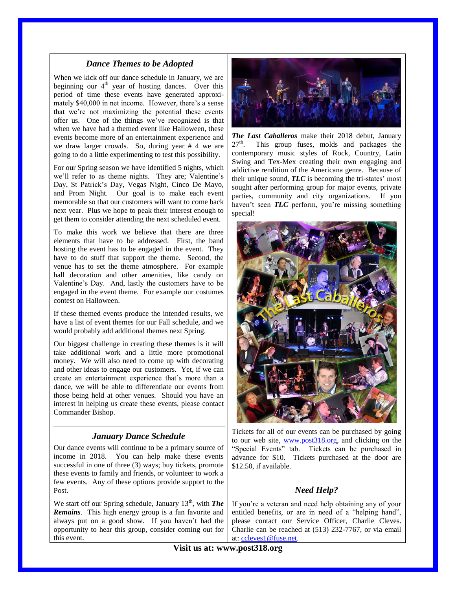### *Dance Themes to be Adopted*

When we kick off our dance schedule in January, we are beginning our  $4<sup>th</sup>$  year of hosting dances. Over this period of time these events have generated approximately \$40,000 in net income. However, there's a sense that we're not maximizing the potential these events offer us. One of the things we've recognized is that when we have had a themed event like Halloween, these events become more of an entertainment experience and we draw larger crowds. So, during year # 4 we are going to do a little experimenting to test this possibility.

For our Spring season we have identified 5 nights, which we'll refer to as theme nights. They are; Valentine's Day, St Patrick's Day, Vegas Night, Cinco De Mayo, and Prom Night. Our goal is to make each event memorable so that our customers will want to come back next year. Plus we hope to peak their interest enough to get them to consider attending the next scheduled event.

To make this work we believe that there are three elements that have to be addressed. First, the band hosting the event has to be engaged in the event. They have to do stuff that support the theme. Second, the venue has to set the theme atmosphere. For example hall decoration and other amenities, like candy on Valentine's Day. And, lastly the customers have to be engaged in the event theme. For example our costumes contest on Halloween.

If these themed events produce the intended results, we have a list of event themes for our Fall schedule, and we would probably add additional themes next Spring.

Our biggest challenge in creating these themes is it will take additional work and a little more promotional money. We will also need to come up with decorating and other ideas to engage our customers. Yet, if we can create an entertainment experience that's more than a dance, we will be able to differentiate our events from those being held at other venues. Should you have an interest in helping us create these events, please contact Commander Bishop.

# *January Dance Schedule*

Our dance events will continue to be a primary source of income in 2018. You can help make these events successful in one of three (3) ways; buy tickets, promote these events to family and friends, or volunteer to work a few events. Any of these options provide support to the Post.

We start off our Spring schedule, January 13<sup>th</sup>, with *The Remains*. This high energy group is a fan favorite and always put on a good show. If you haven't had the opportunity to hear this group, consider coming out for this event.



*The Last Caballeros* make their 2018 debut, January  $27<sup>th</sup>$ . . This group fuses, molds and packages the contemporary music styles of Rock, Country, Latin Swing and Tex-Mex creating their own engaging and addictive rendition of the Americana genre. Because of their unique sound, *TLC* is becoming the tri-states' most sought after performing group for major events, private parties, community and city organizations. If you haven't seen **TLC** perform, you're missing something special!



Tickets for all of our events can be purchased by going to our web site, [www.post318.org,](http://www.post318.org/) and clicking on the "Special Events" tab. Tickets can be purchased in advance for \$10. Tickets purchased at the door are \$12.50, if available.

# *Need Help?*

If you're a veteran and need help obtaining any of your entitled benefits, or are in need of a "helping hand", please contact our Service Officer, Charlie Cleves. Charlie can be reached at (513) 232-7767, or via email at: [ccleves1@fuse.net.](mailto:ccleves1@fuse.net)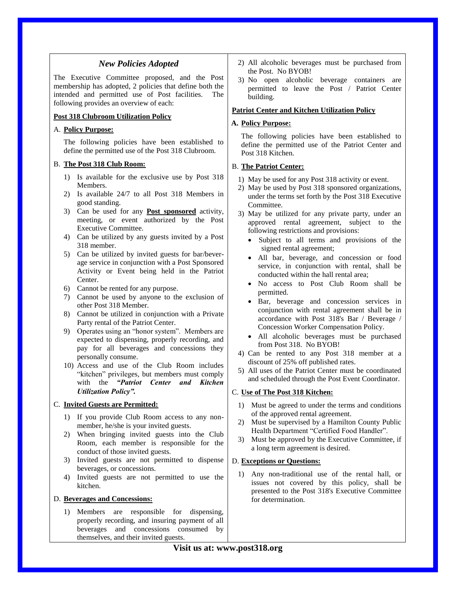### *New Policies Adopted*

The Executive Committee proposed, and the Post membership has adopted, 2 policies that define both the intended and permitted use of Post facilities. The following provides an overview of each:

### **Post 318 Clubroom Utilization Policy**

#### A. **Policy Purpose:**

The following policies have been established to define the permitted use of the Post 318 Clubroom.

### B. **The Post 318 Club Room:**

- 1) Is available for the exclusive use by Post 318 Members.
- 2) Is available 24/7 to all Post 318 Members in good standing.
- 3) Can be used for any **Post sponsored** activity, meeting, or event authorized by the Post Executive Committee.
- 4) Can be utilized by any guests invited by a Post 318 member.
- 5) Can be utilized by invited guests for bar/beverage service in conjunction with a Post Sponsored Activity or Event being held in the Patriot Center.
- 6) Cannot be rented for any purpose.
- 7) Cannot be used by anyone to the exclusion of other Post 318 Member.
- 8) Cannot be utilized in conjunction with a Private Party rental of the Patriot Center.
- 9) Operates using an "honor system". Members are expected to dispensing, properly recording, and pay for all beverages and concessions they personally consume.
- 10) Access and use of the Club Room includes "kitchen" privileges, but members must comply with the *"Patriot Center and Kitchen Utilization Policy".*

#### C. **Invited Guests are Permitted:**

- 1) If you provide Club Room access to any nonmember, he/she is your invited guests.
- 2) When bringing invited guests into the Club Room, each member is responsible for the conduct of those invited guests.
- 3) Invited guests are not permitted to dispense beverages, or concessions.
- 4) Invited guests are not permitted to use the kitchen.

#### D. **Beverages and Concessions:**

1) Members are responsible for dispensing, properly recording, and insuring payment of all beverages and concessions consumed by themselves, and their invited guests.

- 2) All alcoholic beverages must be purchased from the Post. No BYOB!
- 3) No open alcoholic beverage containers are permitted to leave the Post / Patriot Center building.

### **Patriot Center and Kitchen Utilization Policy**

### **A. Policy Purpose:**

The following policies have been established to define the permitted use of the Patriot Center and Post 318 Kitchen.

### B. **The Patriot Center:**

- 1) May be used for any Post 318 activity or event.
- 2) May be used by Post 318 sponsored organizations, under the terms set forth by the Post 318 Executive Committee.
- 3) May be utilized for any private party, under an approved rental agreement, subject to the following restrictions and provisions:
	- Subject to all terms and provisions of the signed rental agreement;
	- All bar, beverage, and concession or food service, in conjunction with rental, shall be conducted within the hall rental area;
	- No access to Post Club Room shall be permitted.
	- Bar, beverage and concession services in conjunction with rental agreement shall be in accordance with Post 318's Bar / Beverage / Concession Worker Compensation Policy.
	- All alcoholic beverages must be purchased from Post 318. No BYOB!
- 4) Can be rented to any Post 318 member at a discount of 25% off published rates.
- 5) All uses of the Patriot Center must be coordinated and scheduled through the Post Event Coordinator.

### C. **Use of The Post 318 Kitchen:**

- 1) Must be agreed to under the terms and conditions of the approved rental agreement.
- 2) Must be supervised by a Hamilton County Public Health Department "Certified Food Handler".
- 3) Must be approved by the Executive Committee, if a long term agreement is desired.

#### D. **Exceptions or Questions:**

1) Any non-traditional use of the rental hall, or issues not covered by this policy, shall be presented to the Post 318's Executive Committee for determination.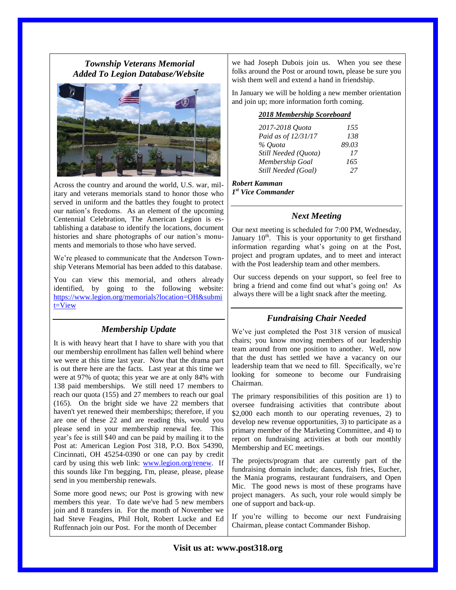# *Township Veterans Memorial Added To Legion Database/Website*



Across the country and around the world, U.S. war, military and veterans memorials stand to honor those who served in uniform and the battles they fought to protect our nation's freedoms. As an element of the upcoming Centennial Celebration, The American Legion is establishing a database to identify the locations, document histories and share photographs of our nation's monuments and memorials to those who have served.

We're pleased to communicate that the Anderson Township Veterans Memorial has been added to this database.

You can view this memorial, and others already identified, by going to the following website: [https://www.legion.org/memorials?location=OH&submi](https://www.legion.org/memorials?location=OH&submit=View) [t=View](https://www.legion.org/memorials?location=OH&submit=View)

# *Membership Update*

It is with heavy heart that I have to share with you that our membership enrollment has fallen well behind where we were at this time last year. Now that the drama part is out there here are the facts. Last year at this time we were at 97% of quota; this year we are at only 84% with 138 paid memberships. We still need 17 members to reach our quota (155) and 27 members to reach our goal (165). On the bright side we have 22 members that haven't yet renewed their memberships; therefore, if you are one of these 22 and are reading this, would you please send in your membership renewal fee. This year's fee is still \$40 and can be paid by mailing it to the Post at: American Legion Post 318, P.O. Box 54390, Cincinnati, OH 45254-0390 or one can pay by credit card by using this web link: [www.legion.org/renew.](http://www.legion.org/renew) If this sounds like I'm begging, I'm, please, please, please send in you membership renewals.

Some more good news; our Post is growing with new members this year. To date we've had 5 new members join and 8 transfers in. For the month of November we had Steve Feagins, Phil Holt, Robert Lucke and Ed Ruffennach join our Post. For the month of December

we had Joseph Dubois join us. When you see these folks around the Post or around town, please be sure you wish them well and extend a hand in friendship.

In January we will be holding a new member orientation and join up; more information forth coming.

### *2018 Membership Scoreboard*

| 2017-2018 Quota      | 155   |
|----------------------|-------|
| Paid as of 12/31/17  | 138   |
| % Ouota              | 89.03 |
| Still Needed (Ouota) | 17    |
| Membership Goal      | 165   |
| Still Needed (Goal)  | 27    |

*Robert Kamman 1 st Vice Commander*

### *Next Meeting*

Our next meeting is scheduled for 7:00 PM, Wednesday, January  $10^{th}$ . This is your opportunity to get firsthand information regarding what's going on at the Post, project and program updates, and to meet and interact with the Post leadership team and other members.

Our success depends on your support, so feel free to bring a friend and come find out what's going on! As always there will be a light snack after the meeting.

# *Fundraising Chair Needed*

We've just completed the Post 318 version of musical chairs; you know moving members of our leadership team around from one position to another. Well, now that the dust has settled we have a vacancy on our leadership team that we need to fill. Specifically, we're looking for someone to become our Fundraising Chairman.

The primary responsibilities of this position are 1) to oversee fundraising activities that contribute about \$2,000 each month to our operating revenues, 2) to develop new revenue opportunities, 3) to participate as a primary member of the Marketing Committee, and 4) to report on fundraising activities at both our monthly Membership and EC meetings.

The projects/program that are currently part of the fundraising domain include; dances, fish fries, Eucher, the Mania programs, restaurant fundraisers, and Open Mic. The good news is most of these programs have project managers. As such, your role would simply be one of support and back-up.

If you're willing to become our next Fundraising Chairman, please contact Commander Bishop.